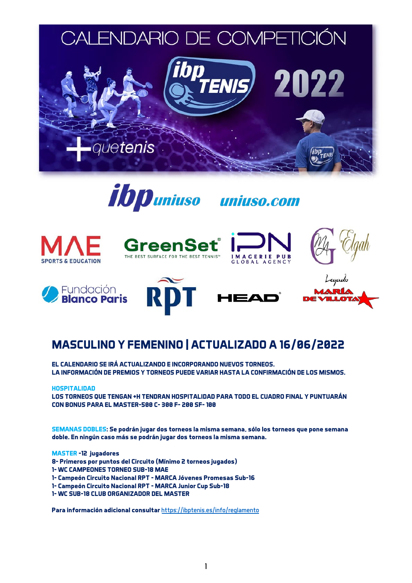

















## **MASCULINO Y FEMENINO | ACTUALIZADO A 16/06/2022**

**EL CALENDARIO SE IRÁ ACTUALIZANDO E INCORPORANDO NUEVOS TORNEOS. LA INFORMACIÓN DE PREMIOS Y TORNEOS PUEDE VARIAR HASTA LA CONFIRMACIÓN DE LOS MISMOS.**

## **HOSPITALIDAD**

**LOS TORNEOS QUE TENGAN +H TENDRAN HOSPITALIDAD PARA TODO EL CUADRO FINAL Y PUNTUARÁN CON BONUS PARA EL MASTER-500 C- 300 F- 200 SF- 100** 

**SEMANAS DOBLES: Se podrán jugar dos torneos la misma semana, sólo los torneos que pone semana doble. En ningún caso más se podrán jugar dos torneos la misma semana.** 

**MASTER -12 jugadores** 

- **8- Primeros por puntos del Circuito (Mínimo 2 torneos jugados)**
- **1- WC CAMPEONES TORNEO SUB-18 MAE**
- **1- Campeón Circuito Nacional RPT - MARCA Jóvenes Promesas Sub-16**
- **1- Campeón Circuito Nacional RPT - MARCA Junior Cup Sub-18**
- **1- WC SUB-18 CLUB ORGANIZADOR DEL MASTER**

**Para información adicional consultar** <https://ibptenis.es/info/reglamento>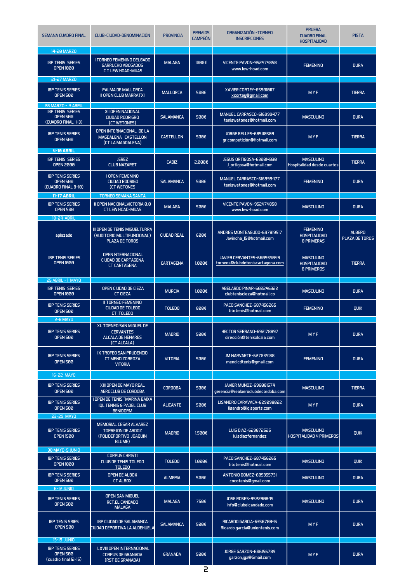| <b>SEMANA CUADRO FINAL</b>                                                               | CLUB-CIUDAD-DENOMINACIÓN                                                               | <b>PROVINCIA</b>   | <b>PREMIOS</b><br><b>CAMPEÓN</b> | ORGANIZACIÓN - TORNEO<br><b>INSCRIPCIONES</b>                       | <b>PRUEBA</b><br><b>CUADRO FINAL</b><br><b>HOSPITALIDAD</b>  | <b>PISTA</b>                    |
|------------------------------------------------------------------------------------------|----------------------------------------------------------------------------------------|--------------------|----------------------------------|---------------------------------------------------------------------|--------------------------------------------------------------|---------------------------------|
| 14-20 MARZO<br><b>IBP TENIS SERIES</b><br><b>OPEN 1000</b>                               | I TORNEO FEMENINO DELGADO<br><b>GARRUCHO ABOGADOS</b><br><b>C T LEW HOAD-MIJAS</b>     | <b>MALAGA</b>      | 1999€                            | VICENTE PAVON-952474858<br>www.lew-hoad.com                         | <b>FEMENINO</b>                                              | <b>DURA</b>                     |
| 21-27 MARZO<br><b>IBP TENIS SERIES</b><br><b>OPEN 500</b>                                | PALMA DE MALLORCA<br><b>II OPEN CLUB MARRATXI</b>                                      | <b>MALLORCA</b>    | 500€                             | XAVIER CORTEY-659010117<br>xcortey@gmail.com                        | MYF                                                          | <b>TIERRA</b>                   |
| 28 MARZO - 3 ABRIL<br><b>IBP TENIS SERIES</b><br><b>OPEN 500</b><br>(CUADRO FINAL 1-3)   | XII OPEN NACIONAL<br><b>CIUDAD RODRIGRO</b><br>(CT WETONES)                            | <b>SALAMANCA</b>   | 500€                             | MANUEL CARRASCO-616999477<br>teniswetones@hotmail.com               | <b>MASCULINO</b>                                             | <b>DURA</b>                     |
| <b>IBP TENIS SERIES</b><br><b>OPEN 500</b>                                               | OPEN INTERNACIONAL DE LA<br>MAGDALENA CASTELLON<br>(CT LA MAGDALENA)                   | <b>CASTELLON</b>   | 500€                             | <b>JORGE BELLES-685110509</b><br>gr.competición@Hotmail.com         | <b>MYF</b>                                                   | <b>TIERRA</b>                   |
| <b>4-10 ABRIL</b>                                                                        |                                                                                        |                    |                                  |                                                                     |                                                              |                                 |
| <b>IBP TENIS SERIES</b><br><b>OPEN 2000</b>                                              | <b>JEREZ</b><br><b>CLUB NAZARET</b>                                                    | <b>CADIZ</b>       | 3.880€                           | <b>JESUS ORTIGOSA-630014330</b><br>J_ortigosa@hotmail.com           | <b>MASCULINO</b><br>Hospitalidad desde cuartos               | <b>TIERRA</b>                   |
| <b>IBP TENIS SERIES</b><br><b>OPEN 500</b><br>(CUADRO FINAL 8-10)                        | <b>I OPEN FEMENINO</b><br><b>CIUDAD RODRIGO</b><br><b>(CT WETONES</b>                  | <b>SALAMANCA</b>   | 500€                             | MANUEL CARRASCO-616999477<br>teniswetones@hotmail.com               | <b>FEMENINO</b>                                              | <b>DURA</b>                     |
| <b>11-17 ABRIL</b>                                                                       | <b>TORNEO SEMANA SANTA</b>                                                             |                    |                                  |                                                                     |                                                              |                                 |
| <b>IBP TENIS SERIES</b><br><b>OPEN 500</b>                                               | <b>II OPEN NACIONALVICTORIA 0.0</b><br><b>CT LEW HOAD-MIJAS</b>                        | <b>MALAGA</b>      | 500€                             | VICENTE PAVON-952474858<br>www.lew-hoad.com                         | <b>MASCULINO</b>                                             | <b>DURA</b>                     |
| <b>18-24 ABRII</b>                                                                       |                                                                                        |                    |                                  |                                                                     |                                                              |                                 |
| aplazado                                                                                 | III OPEN DE TENIS MIGUELTURRA<br>(AUDITORIO MULTIFUNCIONAL)<br>PLAZA DE TOROS          | <b>CIUDAD REAL</b> | 600€                             | ANDRES MONTEAGUDO-697819517<br>Javincha_15@hotmail.com              | <b>FEMENINO</b><br><b>HOSPITALIDAD</b><br><b>8 PRIMERAS</b>  | <b>ALBERO</b><br>PLAZA DE TOROS |
| <b>IBP TENIS SERIES</b><br><b>OPEN 1000</b>                                              | <b>OPEN NTERNACIONAL</b><br><b>CIUDAD DE CARTAGENA</b><br><b>CT CARTAGENA</b>          | <b>CARTAGENA</b>   | $1.000 \in$                      | JAVIER CERVANTES-660934049<br>torneos@clubdeteniscartagena.com      | <b>MASCULINO</b><br><b>HOSPITALIDAD</b><br><b>8 PRIMEROS</b> | <b>TIERRA</b>                   |
| 25 ABRIL - 1 MAYO                                                                        |                                                                                        |                    |                                  |                                                                     |                                                              |                                 |
| <b>IBP TENIS SERIES</b><br><b>OPEN 1000</b>                                              | OPEN CIUDAD DE CIEZA<br><b>CT CIEZA</b>                                                | <b>MURCIA</b>      | 1.000E                           | ABELARDO PINAR-602246322<br>clubteniscieza@hotmail.co               | <b>MASCULINO</b>                                             | <b>DURA</b>                     |
| <b>IBP TENIS SERIES</b><br><b>OPEN 500</b>                                               | <b>II TORNEO FEMENINO</b><br>CIUDAD DE TOLEDO<br>CT.TOLEDO                             | <b>TOLEDO</b>      | 800€                             | PACO SANCHEZ-687456265<br>titotenis@hotmail.com                     | <b>FEMENINO</b>                                              | <b>QUIK</b>                     |
| <b>2-8 MAYO</b>                                                                          |                                                                                        |                    |                                  |                                                                     |                                                              |                                 |
| <b>IBP TENIS SERIES</b><br>OPEN 500                                                      | <b>XL TORNEO SAN MIGUEL DE</b><br><b>CERVANTES</b><br>ALCALA DE HENARES<br>(CT ALCALA) | <b>MADRID</b>      | 500€                             | HECTOR SERRANO-692178897<br>dirección@tenisalcala.com               | MYF                                                          | <b>DURA</b>                     |
| <b>IBP TENIS SERIES</b><br><b>OPEN 500</b>                                               | IX TROFEO SAN PRUDENCIO<br><b>CT MENDIZORROZA</b><br><b>VITORIA</b>                    | <b>VITORIA</b>     | 500€                             | JM NARVARTE-627034188<br>mendicdtenis@gmail.com                     | <b>FEMENINO</b>                                              | <b>DURA</b>                     |
| 16-22 MAYO                                                                               |                                                                                        |                    |                                  |                                                                     |                                                              |                                 |
|                                                                                          |                                                                                        |                    |                                  |                                                                     |                                                              |                                 |
| <b>IBP TENIS SERIES</b><br><b>OPEN 500</b>                                               | XIII OPEN DE MAYO REAL<br>AEROCLUB DE CORDOBA<br>I OPEN DE TENIS "MARINA BAIXA"        | <b>CORDOBA</b>     | 500€                             | <b>JAVIER MUÑOZ-696081574</b><br>gerencia@realaeroclubdecordoba.com | <b>MASCULINO</b>                                             | <b>TIERRA</b>                   |
| <b>IBP TENIS SERIES</b><br><b>OPEN 500</b><br>23-29 MAYO                                 | <b>IQL TENNIS &amp; PADEL CLUB</b><br><b>BENIDORM</b>                                  | <b>ALICANTE</b>    | 500€                             | LISANDRO CARAVACA-629098822<br>lisandro@iqlsports.com               | MYF                                                          | <b>DURA</b>                     |
| <b>IBP TENIS SERIES</b><br><b>OPEN 1500</b>                                              | MEMORIAL CESAR ALVAREZ<br><b>TORREJON DE ARDOZ</b><br>(POLIDEPORTIVO JOAQUIN<br>BLUME) | <b>MADRID</b>      | 1.500E                           | LUIS DIAZ-629872525<br>luisdiazfernandez                            | <b>MASCULINO</b><br><b>HOSPITALIDAD 4 PRIMEROS</b>           | <b>QUIK</b>                     |
| <b>30 MAYO-5 JUNIO</b><br><b>IBP TENIS SERIES</b><br><b>OPEN 1000</b>                    | <b>CORPUS CHRISTI</b><br><b>CLUB DE TENIS TOLEDO</b><br><b>TOLEDO</b>                  | <b>TOLEDO</b>      | 1.000E                           | PACO SANCHEZ-687456265<br>titotenis@hotmail.com                     | <b>MASCULINO</b>                                             | <b>QUIK</b>                     |
| <b>IBP TENIS SERIES</b><br><b>OPEN 500</b>                                               | <b>OPEN DE ALBOX</b><br><b>CT ALBOX</b>                                                | <b>ALMERIA</b>     | 500€                             | ANTONIO GOMEZ-605355731<br>cocotenis@gmail.com                      | <b>MASCULINO</b>                                             | <b>DURA</b>                     |
| <b>6-12 JUNIO</b>                                                                        |                                                                                        |                    |                                  |                                                                     |                                                              |                                 |
| <b>IBP TENIS SERIES</b><br><b>OPEN 500</b>                                               | <b>OPEN SAN MIGUEL</b><br><b>RCT.EL CANDADO</b><br><b>MALAGA</b>                       | <b>MALAGA</b>      | 750€                             | <b>JOSE ROSES-952290845</b><br>info@clubelcandado.com               | <b>MASCULINO</b>                                             | <b>DURA</b>                     |
| <b>IBP TENIS SRIES</b><br><b>OPEN 500</b>                                                | <b>IBP CIUDAD DE SALAMANCA</b><br>CIUDAD DEPORTIVA LA ALDEHUELA                        | <b>SALAMANCA</b>   | 500€                             | <b>RICARDO GARCIA-635670845</b><br>Ricardo.garcia@uniontenis.com    | MYF                                                          | <b>DURA</b>                     |
| <b>13-19 JUNIO</b><br><b>IBP TENIS SERIES</b><br><b>OPEN 500</b><br>(cuadro final 12-15) | <b>LXVIII OPEN INTERNACIONAL</b><br><b>CORPUS DE GRANADA</b><br>(RST DE GRANADA)       | <b>GRANADA</b>     | 500€                             | <b>JORGE GARZON-606156789</b><br>garzon.jga@Gmail.com               | <b>MYF</b>                                                   | <b>DURA</b>                     |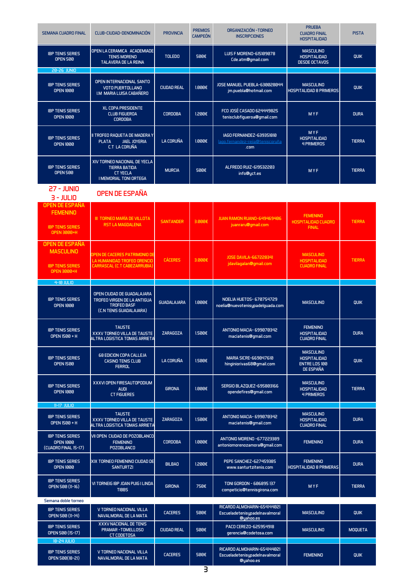| <b>SEMANA CUADRO FINAL</b>                                          | CLUB-CIUDAD-DENOMINACIÓN                                                                                          | <b>PROVINCIA</b>   | <b>PREMIOS</b><br><b>CAMPEÓN</b> | ORGANIZACIÓN - TORNEO<br><b>INSCRIPCIONES</b>                               | <b>PRUEBA</b><br><b>CUADRO FINAL</b><br><b>HOSPITALIDAD</b>                  | <b>PISTA</b>   |
|---------------------------------------------------------------------|-------------------------------------------------------------------------------------------------------------------|--------------------|----------------------------------|-----------------------------------------------------------------------------|------------------------------------------------------------------------------|----------------|
| <b>IBP TENIS SERIES</b><br><b>OPEN 500</b>                          | OPEN LA CERAMICA ACADEMIADE<br><b>TENIS MORENO</b><br><b>TALAVERA DE LA REINA</b>                                 | <b>TOLEDO</b>      | 500€                             | <b>LUIS F MORENO-615109078</b><br>Cde.atm@gmail.com                         | <b>MASCULINO</b><br><b>HOSPITALIDAD</b><br><b>DESDE OCTAVOS</b>              | QUIK           |
| 20-26 JUNIO                                                         |                                                                                                                   |                    |                                  |                                                                             |                                                                              |                |
| <b>IBP TENIS SERIES</b><br><b>OPEN 1000</b>                         | OPEN INTERNACIONAL SANTO<br><b>VOTO PUERTOLLANO</b><br>I.M MARIA LUISA CABAÑERO                                   | <b>CIUDAD REAL</b> | $1.000 \in$                      | JOSE MANUEL PUEBLA-630028044<br>jm.puebla@hotmail.com                       | <b>MASCULINO</b><br><b>HOSPITALIDAD 8 PRIMEROS</b>                           | QUIK           |
| <b>IBP TENIS SERIES</b><br><b>OPEN 1000</b>                         | <b>XL COPA PRESIDENTE</b><br><b>CLUB FIGUEROA</b><br><b>CORDOBA</b>                                               | <b>CORDOBA</b>     | $1.200 \in$                      | FCO JOSÉ CASADO 624449825<br>tenisclubfigueroa@gmail.com                    | MYF                                                                          | <b>DURA</b>    |
| <b>IBP TENIS SERIES</b><br><b>OPEN 1000</b>                         | II TROFEO RAQUETA DE MADERA Y<br><b>PLATA</b><br><b>JAEL JOYERIA</b><br>C.T LA CORUÑA                             | <b>LA CORUÑA</b>   | $1.000 \in$                      | IAGO FERNANDEZ-639351810<br><u>lago.fernandez-rejia@teniscoruña</u><br>.com | MYF<br><b>HOSPITALIDAD</b><br><b>4 PRIMEROS</b>                              | <b>TIERRA</b>  |
| <b>IBP TENIS SERIES</b><br><b>OPEN 500</b>                          | XIV TORNEO NACIONAL DE YECLA<br><b>TIERRA BATIDA</b><br><b>CT YECLA</b><br><b>I MEMORIAL TONI ORTEGA</b>          | <b>MURCIA</b>      | 500€                             | ALFREDO RUIZ-619532203<br>info@yct.es                                       | MYF                                                                          | <b>TIERRA</b>  |
| <b>27 - JUNIO</b><br>$3 - JULIO$                                    | OPEN DE ESPAÑA                                                                                                    |                    |                                  |                                                                             |                                                                              |                |
| OPEN DE ESPAÑA                                                      |                                                                                                                   |                    |                                  |                                                                             |                                                                              |                |
| <b>FEMENINO</b><br><b>IBP TENIS SERIES</b><br><b>OPEN 3000+H</b>    | III TORNEO MARÍA DE VILLOTA<br><b>RST LA MAGDALENA</b>                                                            | <b>SANTANDER</b>   | 3.000E                           | <b>JUAN RAMON RUANO-649469406</b><br>juanraru@gmail.com                     | <b>FEMENINO</b><br><b>HOSPITALIDAD CUADRO</b><br><b>FINAL</b>                | <b>TIERRA</b>  |
| OPEN DE ESPAÑA                                                      |                                                                                                                   |                    |                                  |                                                                             |                                                                              |                |
| <b>MASCULINO</b><br><b>IBP TENIS SERIES</b>                         | OPEN DE CACERES PATRIMONIO DE<br>LA HUMANIDAD TROFEO ORENCIO<br><b>CARRASCAL (C.T CABEZARRUBIA)</b>               | <b>CÁCERES</b>     | 3.000E                           | <b>JOSE DAVILA-667228341</b><br>jdavilagalan@gmail.com                      | <b>MASCULINO</b><br><b>HOSPITALIDAD</b><br><b>CUADRO FINAL</b>               | <b>TIERRA</b>  |
| OPEN 3000+H                                                         |                                                                                                                   |                    |                                  |                                                                             |                                                                              |                |
| 4-10 JULIO                                                          |                                                                                                                   |                    |                                  |                                                                             |                                                                              |                |
| <b>IBP TENIS SERIES</b><br><b>OPEN 1000</b>                         | OPEN CIUDAD DE GUADALAJARA<br><b>TROFEO VIRGEN DE LA ANTIGUA</b><br><b>TROFEO BASF</b><br>(C.N TENIS GUADALAJARA) | <b>GUADALAJARA</b> | 1.000E                           | <b>NOELIA HUETOS- 670754729</b><br>noelia@nuevotenisypadelguada.com         | <b>MASCULINO</b>                                                             | QUIK           |
| <b>IBP TENIS SERIES</b><br>OPEN 1500 + H                            | <b>TAUSTE</b><br><b>XXXV TORNEO VILLA DE TALISTE</b><br>ALTRA LOGISTICA TOMAS ARRIETA                             | <b>7ARAGOZA</b>    | 1.500E                           | ANTONIO MACIA- 699070342<br>maciatenis@gmail.com                            | <b>FEMENINO</b><br><b>HNSPITAL INAN</b><br><b>CUADRO FINAL</b>               | <b>DURA</b>    |
| <b>IBP TENIS SERIES</b><br><b>OPEN 1500</b>                         | <b>68 EDICION COPA CALLEJA</b><br><b>CASINO TENIS CLUB</b><br><b>FERROL</b>                                       | <b>LA CORUÑA</b>   | 1.500E                           | MARIA SICRE-669047610<br>hinginiorivas68@gmail.com                          | <b>MASCULINO</b><br><b>HOSPITALIDAD</b><br><b>ENTRE LOS 100</b><br>DE ESPAÑA | QUIK           |
| <b>IBP TENIS SERIES</b><br><b>OPEN 1000</b>                         | XXXVI OPEN FIRESAUTOPODIUM<br><b>AUDI</b><br><b>CT FIGUERES</b>                                                   | <b>GIRONA</b>      | 1.000E                           | <b>SERGIO BLAZQUEZ-695803166</b><br>opendefires@gmail.com                   | <b>MASCULINO</b><br><b>HOSPITALIDAD</b><br><b>4 PRIMEROS</b>                 | <b>TIERRA</b>  |
| 11-17 JULIO                                                         |                                                                                                                   |                    |                                  |                                                                             |                                                                              |                |
| <b>IBP TENIS SERIES</b><br>OPEN 1500 + H                            | <b>TAUSTE</b><br>XXXV TORNEO VILLA DE TAUSTE<br>ALTRA LOGISTICA TOMAS ARRIETA                                     | <b>ZARAGOZA</b>    | 1.500€                           | ANTONIO MACIA-699070342<br>maciatenis@gmail.com                             | <b>MASCULINO</b><br><b>HOSPITALIDAD</b><br><b>CUADRO FINAL</b>               | <b>DURA</b>    |
| <b>IBP TENIS SERIES</b><br><b>OPEN 1000</b><br>(CUADRO FINAL 15-17) | VII OPEN CIUDAD DE POZOBLANCO<br><b>FEMENINO</b><br><b>POZOBLANCO</b>                                             | <b>CORDOBA</b>     | 1.000E                           | ANTONIO MORENO -677223389<br>antoniomorenozamora@gmail.com                  | <b>FEMENINO</b>                                                              | <b>DURA</b>    |
| <b>IBP TENIS SERIES</b><br><b>OPEN 1999</b>                         | XIX TORNEO FEMENINO CIUDAD DE<br><b>SANTURTZI</b>                                                                 | <b>BILBAO</b>      | $1.200 \in$                      | PEPE SANCHEZ-627459385<br>www.santurtzitenis.com                            | <b>FEMENINO</b><br><b>HOSPITALIDAD 8 PRIMERAS</b>                            | <b>DURA</b>    |
| <b>IBP TENIS SERIES</b><br>OPEN 500 (11-16)                         | VI TORNEIG IBP JOAN PUIG I LINDA<br><b>TIBBS</b>                                                                  | <b>GIRONA</b>      | 750€                             | TONI GORDON - 606895 137<br>competicio@tennisgirona.com                     | MYF                                                                          | <b>TIERRA</b>  |
| Semana doble torneo                                                 |                                                                                                                   |                    |                                  |                                                                             |                                                                              |                |
| <b>IBP TENIS SERIES</b><br>OPEN 500 (11-14)                         | V TORNEO NACIONAL VILLA<br>NAVALMORAL DE LA MATA                                                                  | <b>CACERES</b>     | 500€                             | RICARDO ALMOHARIN-654144021<br>Escueladetenisypadelnavalmoral<br>@yahoo.es  | <b>MASCULINO</b>                                                             | <b>QUIK</b>    |
| <b>IBP TENIS SERIES</b><br>OPEN 500 (15-17)<br>18-24 JULIO          | XXXV NACIONAL DE TENIS<br>PRAMAR - TOMELLOSO<br><b>CT CODETOSA</b>                                                | <b>CIUDAD REAL</b> | 500€                             | PACO CEREZO-625954918<br>gerencia@codetosa.com                              | <b>MASCULINO</b>                                                             | <b>MOQUETA</b> |
| <b>IBP TENIS SERIES</b><br>OPEN 500(18-21)                          | V TORNEO NACIONAL VILLA<br>NAVALMORAL DE LA MATA                                                                  | <b>CACERES</b>     | 500€                             | RICARDO ALMOHARIN-654144021<br>Escueladetenisypadelnavalmoral<br>@yahoo.es  | <b>FEMENINO</b>                                                              | <b>QUIK</b>    |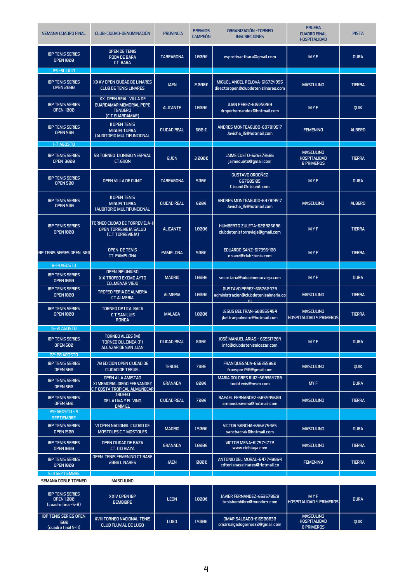| <b>SEMANA CUADRO FINAL</b>                                         | CLUB-CIUDAD-DENOMINACIÓN                                                                     | <b>PROVINCIA</b>   | <b>PREMIOS</b><br><b>CAMPEÓN</b> | ORGANIZACIÓN - TORNEO<br><b>INSCRIPCIONES</b>                               | <b>PRUEBA</b><br><b>CUADRO FINAL</b><br><b>HOSPITALIDAD</b>  | <b>PISTA</b>  |
|--------------------------------------------------------------------|----------------------------------------------------------------------------------------------|--------------------|----------------------------------|-----------------------------------------------------------------------------|--------------------------------------------------------------|---------------|
| <b>IBP TENIS SERIES</b><br><b>OPEN 1000</b>                        | OPEN DE TENIS<br>RODA DE BARA<br><b>CT BARA</b>                                              | <b>TARRAGONA</b>   | 1.000E                           | esportivactbara@gmail.com                                                   | MYF                                                          | <b>DURA</b>   |
| 25-31 JULIO                                                        |                                                                                              |                    |                                  |                                                                             |                                                              |               |
| <b>IBP TENIS SERIES</b><br><b>OPEN 2000</b>                        | XXXV OPEN CIUDAD DE LINARES<br><b>CLUB DE TENIS LINARES</b>                                  | <b>JAEN</b>        | 2.000E                           | MIGUEL ANGEL RELOVA-616724995<br>directoropen@clubdetenislinares.com        | <b>MASCULINO</b>                                             | <b>TIERRA</b> |
| <b>IBP TENIS SERIES</b><br><b>OPEN 1000</b>                        | XX OPEN REAL VILLA DE<br><b>GUARDAMAR MEMORIAL PEPE</b><br><b>TENDERO</b><br>(C.T GUARDAMAR) | <b>ALICANTE</b>    | $1.000 \in$                      | <b>JUAN PEREZ-615122269</b><br>droperhernandez@hotmail.com                  | MYF                                                          | QUIK          |
| <b>IBP TENIS SERIES</b><br><b>OPEN 500</b>                         | <b>II OPEN TENIS</b><br><b>MIGUELTURRA</b><br>(AUDITORIO MULTIFUNCIONAL                      | <b>CIUDAD REAL</b> | 600€                             | ANDRES MONTEAGUDO-697819517<br>Javicha_15@hotmail.com                       | <b>FEMENINO</b>                                              | <b>ALBERO</b> |
| <b>1-7 AGOSTO</b>                                                  |                                                                                              |                    |                                  |                                                                             |                                                              |               |
| <b>IBP TENIS SERIES</b><br><b>OPEN 3000</b>                        | 58 TORNEO DIONISIO NESPRAL<br>CT.GIJON                                                       | <b>GIJON</b>       | 3.000E                           | <b>JAIME CUETO-626373686</b><br>jaimecueto@gmail.com                        | <b>MASCULINO</b><br><b>HOSPITALIDAD</b><br><b>8 PRIMEROS</b> | <b>TIERRA</b> |
| <b>IBP TENIS SERIES</b><br><b>OPEN 500</b>                         | <b>OPEN VILLA DE CUNIT</b>                                                                   | <b>TARRAGONA</b>   | 500€                             | <b>GUSTAVO ORDOÑEZ</b><br>667605105<br>Ctcunit@ctcunit.com                  | MYF                                                          | <b>DURA</b>   |
| <b>IBP TENIS SERIES</b><br><b>OPEN 500</b>                         | <b>II OPEN TENIS</b><br><b>MIGUEL TURRA</b><br>(AUDITORIO MULTIFUNCIONAL                     | <b>CIUDAD REAL</b> | 600€                             | ANDRES MONTEAGUDO-697819517<br>Javicha_15@hotmail.com                       | <b>MASCULINO</b>                                             | <b>ALBERO</b> |
| <b>IBP TENIS SERIES</b><br><b>OPEN 1000</b>                        | TORNEO CIUDAD DE TORREVIEJA-II<br>OPEN TORREVIEJA SALUD<br>(C.T TORREVIEJA)                  | <b>ALICANTE</b>    | $1.000 \in$                      | HUMBERTO ZULETA-620926696<br>clubdetenistorrevieja@gmail.com                | MYF                                                          | <b>TIERRA</b> |
| <b>IBP TENIS SERIES OPEN 500</b>                                   | OPEN DE TENIS<br><b>CT. PAMPLONA</b>                                                         | <b>PAMPLONA</b>    | 500€                             | EDUARDO SANZ-617396408<br>e.sanz@club-tenis.com                             | MYF                                                          | <b>TIERRA</b> |
| 8-14 AGOSTO                                                        |                                                                                              |                    |                                  |                                                                             |                                                              |               |
| <b>IBP TENIS SERIES</b>                                            | OPEN IBP UNIUSO<br>XIX TROFEO EXCMO AYTO                                                     | <b>MADRID</b>      | $1.000 \in$                      | secretaria@adcolmenarviejo.com                                              | MYF                                                          | <b>DURA</b>   |
| <b>OPEN 1000</b>                                                   | <b>COLMENAR VIEJO</b>                                                                        |                    |                                  |                                                                             |                                                              |               |
| <b>IBP TENIS SERIES</b><br><b>OPEN 1000</b>                        | TROFEO FERIA DE ALMERIA<br><b>CT ALMERIA</b>                                                 | <b>ALMERIA</b>     | 1.000E                           | <b>GUSTAVO PEREZ-618762479</b><br>administracion@clubdetenisalmeria.co<br>m | <b>MASCULINO</b>                                             | <b>TIERRA</b> |
| <b>IBP TENIS SERIES</b><br><b>OPEN 1000</b>                        | TORNEO OPTICA BACA<br><b>C.T SAN LUIS</b><br><b>RONDA</b>                                    | <b>MALAGA</b>      | $1.000 \in$                      | <b>JESUS BELTRAN-609555454</b><br>jbeltranpalmero@hotmail.com               | <b>MASCULINO</b><br><b>HOSPITALIDAD 4 PRIMEROS</b>           | <b>TIERRA</b> |
| <b>15-21 AGOSTO</b>                                                |                                                                                              |                    |                                  |                                                                             |                                                              |               |
| <b>IBP TENIS SERIES</b><br><b>OPEN 500</b>                         | TORNEO ALCES (M)<br>TORNEO DULCINEA (F)<br>ALCAZAR DE SAN JUAN                               | <b>CIUDAD REAL</b> | 800€                             | <b>JOSÉ MANUEL ARIAS - 655517284</b><br>info@clubdetenisalcazar.com         | <b>MYF</b>                                                   | <b>DURA</b>   |
| 22-28 AGOSTO                                                       |                                                                                              |                    |                                  |                                                                             |                                                              |               |
| <b>IBP TENIS SERIES</b><br><b>OPEN 500</b>                         | 70 EDICION OPEN CIUDAD DE<br><b>CIUDAD DE TERUEL</b>                                         | <b>TERUEL</b>      | 700€                             | FRAN QUESADA-656355860<br>fransport90@gmail.com                             | <b>MASCULINO</b>                                             | QUIK          |
| <b>IBP TENIS SERIES</b><br><b>OPEN 500</b>                         | <b>OPEN A LA AMISTAD</b><br>XI MEMORIALDIEGO FERNANDEZ<br>C.T COSTA TROPICAL ALMUÑECAR       | <b>GRANADA</b>     | 800€                             | MARIA DOLORES RUIZ-669364708<br>todotenis@msm.com                           | MY <sub>F</sub>                                              | <b>DURA</b>   |
| <b>IBP TENIS SERIES</b><br><b>OPEN 500</b>                         | <b>TROFEO</b><br>DE LA UVA Y EL VINO<br><b>DAIMIEL</b>                                       | <b>CIUDAD REAL</b> | 700€                             | RAFAEL FERNANDEZ-685445600<br>armandosesma@hotmail.com                      | <b>MASCULINO</b>                                             | <b>TIERRA</b> |
| 29-AG0ST0-4                                                        |                                                                                              |                    |                                  |                                                                             |                                                              |               |
| <b>SEPTIEMBRE</b><br><b>IBP TENIS SERIES</b><br><b>OPEN 1500</b>   | VI OPEN NACIONAL CIUDAD DE<br>MOSTOLES C.T MOSTOLES                                          | <b>MADRID</b>      | 1.500€                           | VICTOR SANCHA-696275425<br>sanchacrak@hotmail.com                           | <b>MASCULINO</b>                                             | <b>DURA</b>   |
| <b>IBP TENIS SERIES</b><br><b>OPEN 1000</b>                        | OPEN CIUDAD DE BAZA<br><b>CT. CID HIAYA</b>                                                  | <b>GRANADA</b>     | $1.000 \in$                      | <b>VICTOR MENA-617574772</b><br>www.cidhiaya.com                            | <b>MASCULINO</b>                                             | <b>TIERRA</b> |
| <b>IBP TENIS SERIES</b><br><b>OPEN 1000</b>                        | OPEN TENIS FEMENINO CT BASE<br>2000 LINARES                                                  | <b>JAEN</b>        | 1999€                            | ANTONIO DEL MORAL-647748864<br>cdtenisbaselinares@Hotmail.co                | <b>FEMENINO</b>                                              | <b>TIERRA</b> |
| <b>5-11 SEPTIEMBRE</b>                                             |                                                                                              |                    |                                  |                                                                             |                                                              |               |
| SEMANA DOBLE TORNEO                                                | <b>MASCULINO</b>                                                                             |                    |                                  |                                                                             |                                                              |               |
| <b>IBP TENIS SERIES</b><br><b>OPEN 1.000</b><br>(cuadro final-5-8) | XXIV OPEN IBP<br><b>BEMBIBRE</b>                                                             | <b>LEON</b>        | $1.000 \in$                      | JAVIER FERNANDEZ-653570128<br>tenisbembibre@mundo-r.com                     | <b>MYF</b><br><b>HOSPITALIDAD 4 PRIMEROS</b>                 | <b>DURA</b>   |